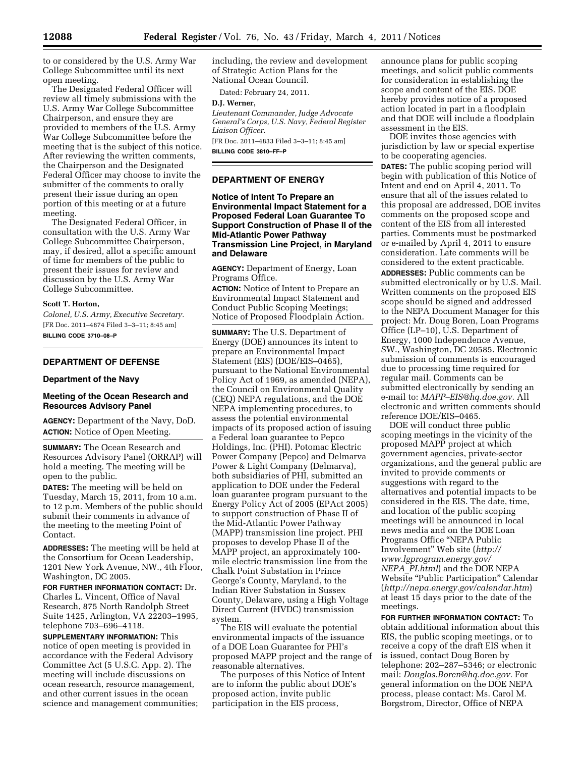to or considered by the U.S. Army War College Subcommittee until its next open meeting.

The Designated Federal Officer will review all timely submissions with the U.S. Army War College Subcommittee Chairperson, and ensure they are provided to members of the U.S. Army War College Subcommittee before the meeting that is the subject of this notice. After reviewing the written comments, the Chairperson and the Designated Federal Officer may choose to invite the submitter of the comments to orally present their issue during an open portion of this meeting or at a future meeting.

The Designated Federal Officer, in consultation with the U.S. Army War College Subcommittee Chairperson, may, if desired, allot a specific amount of time for members of the public to present their issues for review and discussion by the U.S. Army War College Subcommittee.

## **Scott T. Horton,**

*Colonel, U.S. Army, Executive Secretary.*  [FR Doc. 2011–4874 Filed 3–3–11; 8:45 am] **BILLING CODE 3710–08–P** 

## **DEPARTMENT OF DEFENSE**

## **Department of the Navy**

## **Meeting of the Ocean Research and Resources Advisory Panel**

**AGENCY:** Department of the Navy, DoD. **ACTION:** Notice of Open Meeting.

**SUMMARY:** The Ocean Research and Resources Advisory Panel (ORRAP) will hold a meeting. The meeting will be open to the public.

**DATES:** The meeting will be held on Tuesday, March 15, 2011, from 10 a.m. to 12 p.m. Members of the public should submit their comments in advance of the meeting to the meeting Point of Contact.

**ADDRESSES:** The meeting will be held at the Consortium for Ocean Leadership, 1201 New York Avenue, NW., 4th Floor, Washington, DC 2005.

**FOR FURTHER INFORMATION CONTACT:** Dr. Charles L. Vincent, Office of Naval Research, 875 North Randolph Street Suite 1425, Arlington, VA 22203–1995, telephone 703–696–4118.

**SUPPLEMENTARY INFORMATION:** This notice of open meeting is provided in accordance with the Federal Advisory Committee Act (5 U.S.C. App. 2). The meeting will include discussions on ocean research, resource management, and other current issues in the ocean science and management communities; including, the review and development of Strategic Action Plans for the National Ocean Council.

Dated: February 24, 2011.

## **D.J. Werner,**

*Lieutenant Commander, Judge Advocate General's Corps, U.S. Navy, Federal Register Liaison Officer.* 

[FR Doc. 2011–4833 Filed 3–3–11; 8:45 am] **BILLING CODE 3810–FF–P** 

## **DEPARTMENT OF ENERGY**

**Notice of Intent To Prepare an Environmental Impact Statement for a Proposed Federal Loan Guarantee To Support Construction of Phase II of the Mid-Atlantic Power Pathway Transmission Line Project, in Maryland and Delaware** 

**AGENCY:** Department of Energy, Loan Programs Office.

**ACTION:** Notice of Intent to Prepare an Environmental Impact Statement and Conduct Public Scoping Meetings; Notice of Proposed Floodplain Action.

**SUMMARY:** The U.S. Department of Energy (DOE) announces its intent to prepare an Environmental Impact Statement (EIS) (DOE/EIS–0465), pursuant to the National Environmental Policy Act of 1969, as amended (NEPA), the Council on Environmental Quality (CEQ) NEPA regulations, and the DOE NEPA implementing procedures, to assess the potential environmental impacts of its proposed action of issuing a Federal loan guarantee to Pepco Holdings, Inc. (PHI). Potomac Electric Power Company (Pepco) and Delmarva Power & Light Company (Delmarva), both subsidiaries of PHI, submitted an application to DOE under the Federal loan guarantee program pursuant to the Energy Policy Act of 2005 (EPAct 2005) to support construction of Phase II of the Mid-Atlantic Power Pathway (MAPP) transmission line project. PHI proposes to develop Phase II of the MAPP project, an approximately 100 mile electric transmission line from the Chalk Point Substation in Prince George's County, Maryland, to the Indian River Substation in Sussex County, Delaware, using a High Voltage Direct Current (HVDC) transmission system.

The EIS will evaluate the potential environmental impacts of the issuance of a DOE Loan Guarantee for PHI's proposed MAPP project and the range of reasonable alternatives.

The purposes of this Notice of Intent are to inform the public about DOE's proposed action, invite public participation in the EIS process,

announce plans for public scoping meetings, and solicit public comments for consideration in establishing the scope and content of the EIS. DOE hereby provides notice of a proposed action located in part in a floodplain and that DOE will include a floodplain assessment in the EIS.

DOE invites those agencies with jurisdiction by law or special expertise to be cooperating agencies. **DATES:** The public scoping period will begin with publication of this Notice of Intent and end on April 4, 2011. To ensure that all of the issues related to this proposal are addressed, DOE invites comments on the proposed scope and content of the EIS from all interested parties. Comments must be postmarked or e-mailed by April 4, 2011 to ensure consideration. Late comments will be considered to the extent practicable. **ADDRESSES:** Public comments can be submitted electronically or by U.S. Mail. Written comments on the proposed EIS scope should be signed and addressed to the NEPA Document Manager for this project: Mr. Doug Boren, Loan Programs Office (LP–10), U.S. Department of Energy, 1000 Independence Avenue, SW., Washington, DC 20585. Electronic submission of comments is encouraged due to processing time required for regular mail. Comments can be submitted electronically by sending an e-mail to: *MAPP–EIS@hq.doe.gov.* All electronic and written comments should reference DOE/EIS–0465.

DOE will conduct three public scoping meetings in the vicinity of the proposed MAPP project at which government agencies, private-sector organizations, and the general public are invited to provide comments or suggestions with regard to the alternatives and potential impacts to be considered in the EIS. The date, time, and location of the public scoping meetings will be announced in local news media and on the DOE Loan Programs Office ''NEPA Public Involvement'' Web site (*http:// www.lgprogram.energy.gov/ NEPA*\_*PI.html*) and the DOE NEPA Website "Public Participation" Calendar (*http://nepa.energy.gov/calendar.htm*) at least 15 days prior to the date of the meetings.

**FOR FURTHER INFORMATION CONTACT:** To obtain additional information about this EIS, the public scoping meetings, or to receive a copy of the draft EIS when it is issued, contact Doug Boren by telephone: 202–287–5346; or electronic mail: *Douglas.Boren@hq.doe.gov.* For general information on the DOE NEPA process, please contact: Ms. Carol M. Borgstrom, Director, Office of NEPA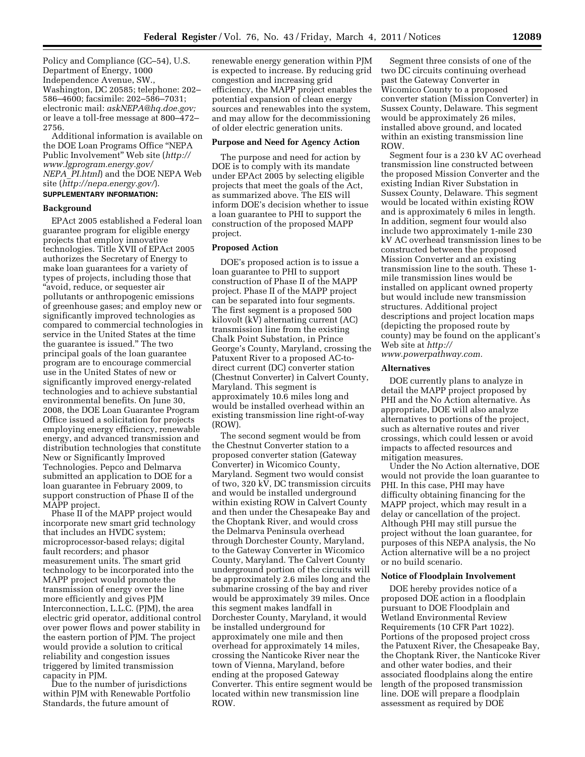Policy and Compliance (GC–54), U.S. Department of Energy, 1000 Independence Avenue, SW., Washington, DC 20585; telephone: 202– 586–4600; facsimile: 202–586–7031; electronic mail: *askNEPA@hq.doe.gov;*  or leave a toll-free message at 800–472– 2756.

Additional information is available on the DOE Loan Programs Office ''NEPA Public Involvement'' Web site (*http:// www.lgprogram.energy.gov/ NEPA*\_*PI.html*) and the DOE NEPA Web site (*http://nepa.energy.gov/*). **SUPPLEMENTARY INFORMATION:** 

# **Background**

EPAct 2005 established a Federal loan guarantee program for eligible energy projects that employ innovative technologies. Title XVII of EPAct 2005 authorizes the Secretary of Energy to make loan guarantees for a variety of types of projects, including those that ''avoid, reduce, or sequester air pollutants or anthropogenic emissions of greenhouse gases; and employ new or significantly improved technologies as compared to commercial technologies in service in the United States at the time the guarantee is issued.'' The two principal goals of the loan guarantee program are to encourage commercial use in the United States of new or significantly improved energy-related technologies and to achieve substantial environmental benefits. On June 30, 2008, the DOE Loan Guarantee Program Office issued a solicitation for projects employing energy efficiency, renewable energy, and advanced transmission and distribution technologies that constitute New or Significantly Improved Technologies. Pepco and Delmarva submitted an application to DOE for a loan guarantee in February 2009, to support construction of Phase II of the MAPP project.

Phase II of the MAPP project would incorporate new smart grid technology that includes an HVDC system; microprocessor-based relays; digital fault recorders; and phasor measurement units. The smart grid technology to be incorporated into the MAPP project would promote the transmission of energy over the line more efficiently and gives PJM Interconnection, L.L.C. (PJM), the area electric grid operator, additional control over power flows and power stability in the eastern portion of PJM. The project would provide a solution to critical reliability and congestion issues triggered by limited transmission capacity in PJM.

Due to the number of jurisdictions within PJM with Renewable Portfolio Standards, the future amount of

renewable energy generation within PJM is expected to increase. By reducing grid congestion and increasing grid efficiency, the MAPP project enables the potential expansion of clean energy sources and renewables into the system, and may allow for the decommissioning of older electric generation units.

#### **Purpose and Need for Agency Action**

The purpose and need for action by DOE is to comply with its mandate under EPAct 2005 by selecting eligible projects that meet the goals of the Act, as summarized above. The EIS will inform DOE's decision whether to issue a loan guarantee to PHI to support the construction of the proposed MAPP project.

#### **Proposed Action**

DOE's proposed action is to issue a loan guarantee to PHI to support construction of Phase II of the MAPP project. Phase II of the MAPP project can be separated into four segments. The first segment is a proposed 500 kilovolt (kV) alternating current (AC) transmission line from the existing Chalk Point Substation, in Prince George's County, Maryland, crossing the Patuxent River to a proposed AC-todirect current (DC) converter station (Chestnut Converter) in Calvert County, Maryland. This segment is approximately 10.6 miles long and would be installed overhead within an existing transmission line right-of-way (ROW).

The second segment would be from the Chestnut Converter station to a proposed converter station (Gateway Converter) in Wicomico County, Maryland. Segment two would consist of two, 320 kV, DC transmission circuits and would be installed underground within existing ROW in Calvert County and then under the Chesapeake Bay and the Choptank River, and would cross the Delmarva Peninsula overhead through Dorchester County, Maryland, to the Gateway Converter in Wicomico County, Maryland. The Calvert County underground portion of the circuits will be approximately 2.6 miles long and the submarine crossing of the bay and river would be approximately 39 miles. Once this segment makes landfall in Dorchester County, Maryland, it would be installed underground for approximately one mile and then overhead for approximately 14 miles, crossing the Nanticoke River near the town of Vienna, Maryland, before ending at the proposed Gateway Converter. This entire segment would be located within new transmission line ROW.

Segment three consists of one of the two DC circuits continuing overhead past the Gateway Converter in Wicomico County to a proposed converter station (Mission Converter) in Sussex County, Delaware. This segment would be approximately 26 miles, installed above ground, and located within an existing transmission line ROW.

Segment four is a 230 kV AC overhead transmission line constructed between the proposed Mission Converter and the existing Indian River Substation in Sussex County, Delaware. This segment would be located within existing ROW and is approximately 6 miles in length. In addition, segment four would also include two approximately 1-mile 230 kV AC overhead transmission lines to be constructed between the proposed Mission Converter and an existing transmission line to the south. These 1 mile transmission lines would be installed on applicant owned property but would include new transmission structures. Additional project descriptions and project location maps (depicting the proposed route by county) may be found on the applicant's Web site at *http:// www.powerpathway.com.* 

### **Alternatives**

DOE currently plans to analyze in detail the MAPP project proposed by PHI and the No Action alternative. As appropriate, DOE will also analyze alternatives to portions of the project, such as alternative routes and river crossings, which could lessen or avoid impacts to affected resources and mitigation measures.

Under the No Action alternative, DOE would not provide the loan guarantee to PHI. In this case, PHI may have difficulty obtaining financing for the MAPP project, which may result in a delay or cancellation of the project. Although PHI may still pursue the project without the loan guarantee, for purposes of this NEPA analysis, the No Action alternative will be a no project or no build scenario.

#### **Notice of Floodplain Involvement**

DOE hereby provides notice of a proposed DOE action in a floodplain pursuant to DOE Floodplain and Wetland Environmental Review Requirements (10 CFR Part 1022). Portions of the proposed project cross the Patuxent River, the Chesapeake Bay, the Choptank River, the Nanticoke River and other water bodies, and their associated floodplains along the entire length of the proposed transmission line. DOE will prepare a floodplain assessment as required by DOE